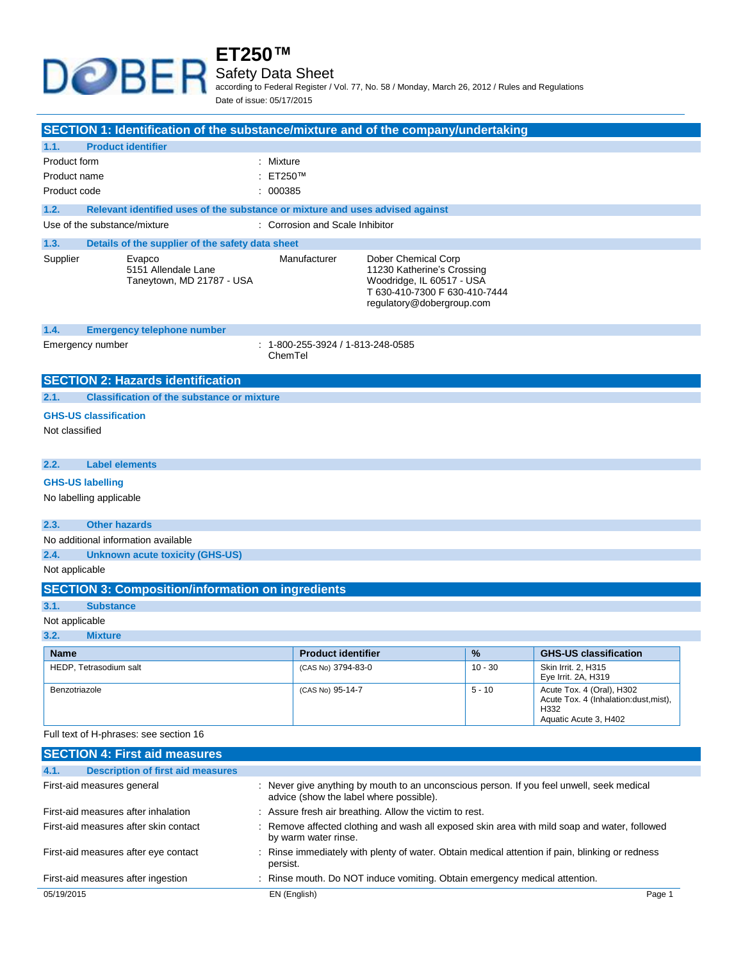### **ET250™** Safety Data Sheet according to Federal Register / Vol. 77, No. 58 / Monday, March 26, 2012 / Rules and Regulations

Date of issue: 05/17/2015

| SECTION 1: Identification of the substance/mixture and of the company/undertaking |                                                                               |                                              |                                                                                                                                              |           |                                                                                                     |
|-----------------------------------------------------------------------------------|-------------------------------------------------------------------------------|----------------------------------------------|----------------------------------------------------------------------------------------------------------------------------------------------|-----------|-----------------------------------------------------------------------------------------------------|
| 1.1.                                                                              | <b>Product identifier</b>                                                     |                                              |                                                                                                                                              |           |                                                                                                     |
| Product form                                                                      |                                                                               | : Mixture                                    |                                                                                                                                              |           |                                                                                                     |
| Product name                                                                      |                                                                               | : ET250™                                     |                                                                                                                                              |           |                                                                                                     |
| Product code                                                                      |                                                                               | : 000385                                     |                                                                                                                                              |           |                                                                                                     |
| 1.2.                                                                              | Relevant identified uses of the substance or mixture and uses advised against |                                              |                                                                                                                                              |           |                                                                                                     |
|                                                                                   | Use of the substance/mixture                                                  | : Corrosion and Scale Inhibitor              |                                                                                                                                              |           |                                                                                                     |
|                                                                                   |                                                                               |                                              |                                                                                                                                              |           |                                                                                                     |
| 1.3.                                                                              | Details of the supplier of the safety data sheet                              |                                              |                                                                                                                                              |           |                                                                                                     |
| Supplier                                                                          | Evapco<br>5151 Allendale Lane<br>Taneytown, MD 21787 - USA                    | Manufacturer                                 | Dober Chemical Corp<br>11230 Katherine's Crossing<br>Woodridge, IL 60517 - USA<br>T 630-410-7300 F 630-410-7444<br>regulatory@dobergroup.com |           |                                                                                                     |
| 1.4.                                                                              | <b>Emergency telephone number</b>                                             |                                              |                                                                                                                                              |           |                                                                                                     |
|                                                                                   | Emergency number                                                              | : 1-800-255-3924 / 1-813-248-0585<br>ChemTel |                                                                                                                                              |           |                                                                                                     |
|                                                                                   | <b>SECTION 2: Hazards identification</b>                                      |                                              |                                                                                                                                              |           |                                                                                                     |
| 2.1.                                                                              | <b>Classification of the substance or mixture</b>                             |                                              |                                                                                                                                              |           |                                                                                                     |
|                                                                                   | <b>GHS-US classification</b>                                                  |                                              |                                                                                                                                              |           |                                                                                                     |
| Not classified                                                                    |                                                                               |                                              |                                                                                                                                              |           |                                                                                                     |
| 2.2.                                                                              | <b>Label elements</b>                                                         |                                              |                                                                                                                                              |           |                                                                                                     |
|                                                                                   | <b>GHS-US labelling</b>                                                       |                                              |                                                                                                                                              |           |                                                                                                     |
|                                                                                   | No labelling applicable                                                       |                                              |                                                                                                                                              |           |                                                                                                     |
| 2.3.                                                                              | <b>Other hazards</b>                                                          |                                              |                                                                                                                                              |           |                                                                                                     |
|                                                                                   | No additional information available                                           |                                              |                                                                                                                                              |           |                                                                                                     |
| 2.4.                                                                              | Unknown acute toxicity (GHS-US)                                               |                                              |                                                                                                                                              |           |                                                                                                     |
| Not applicable                                                                    |                                                                               |                                              |                                                                                                                                              |           |                                                                                                     |
|                                                                                   | <b>SECTION 3: Composition/information on ingredients</b>                      |                                              |                                                                                                                                              |           |                                                                                                     |
| 3.1.                                                                              | <b>Substance</b>                                                              |                                              |                                                                                                                                              |           |                                                                                                     |
| Not applicable                                                                    |                                                                               |                                              |                                                                                                                                              |           |                                                                                                     |
| 3.2.                                                                              | <b>Mixture</b>                                                                |                                              |                                                                                                                                              |           |                                                                                                     |
| <b>Name</b>                                                                       |                                                                               | <b>Product identifier</b>                    |                                                                                                                                              | $\%$      | <b>GHS-US classification</b>                                                                        |
|                                                                                   | HEDP, Tetrasodium salt                                                        | (CAS No) 3794-83-0                           |                                                                                                                                              | $10 - 30$ | Skin Irrit. 2, H315<br>Eye Irrit. 2A, H319                                                          |
| Benzotriazole                                                                     |                                                                               | (CAS No) 95-14-7                             |                                                                                                                                              | $5 - 10$  | Acute Tox. 4 (Oral), H302<br>Acute Tox. 4 (Inhalation:dust, mist),<br>H332<br>Aquatic Acute 3, H402 |
| Full text of H-phrases: see section 16                                            |                                                                               |                                              |                                                                                                                                              |           |                                                                                                     |
|                                                                                   | <b>SECTION 4: First aid measures</b>                                          |                                              |                                                                                                                                              |           |                                                                                                     |
| 4.1.                                                                              | <b>Description of first aid measures</b>                                      |                                              |                                                                                                                                              |           |                                                                                                     |
|                                                                                   | First-aid measures general                                                    | advice (show the label where possible).      |                                                                                                                                              |           | : Never give anything by mouth to an unconscious person. If you feel unwell, seek medical           |
|                                                                                   | First-aid measures after inhalation                                           |                                              | : Assure fresh air breathing. Allow the victim to rest.                                                                                      |           |                                                                                                     |
|                                                                                   | First-aid measures after skin contact                                         | by warm water rinse.                         |                                                                                                                                              |           | : Remove affected clothing and wash all exposed skin area with mild soap and water, followed        |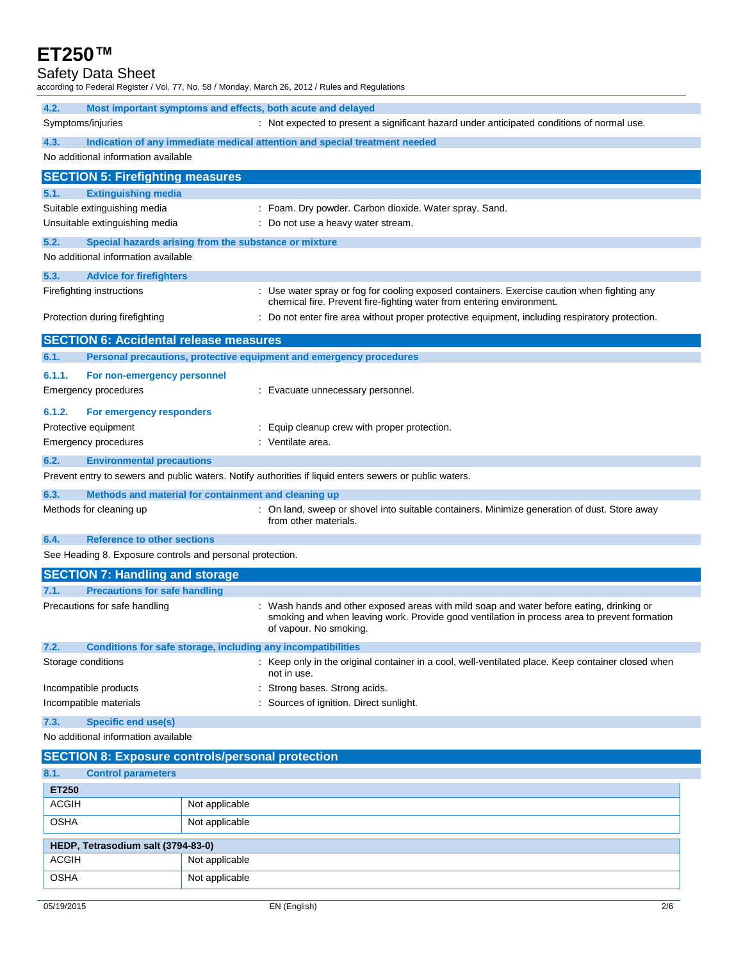#### Safety Data Sheet

according to Federal Register / Vol. 77, No. 58 / Monday, March 26, 2012 / Rules and Regulations

| 4.2.                                       |                                                                                                                 | Most important symptoms and effects, both acute and delayed                                                                                                                                                      |  |  |  |
|--------------------------------------------|-----------------------------------------------------------------------------------------------------------------|------------------------------------------------------------------------------------------------------------------------------------------------------------------------------------------------------------------|--|--|--|
|                                            | Symptoms/injuries<br>: Not expected to present a significant hazard under anticipated conditions of normal use. |                                                                                                                                                                                                                  |  |  |  |
| 4.3.                                       | No additional information available                                                                             | Indication of any immediate medical attention and special treatment needed                                                                                                                                       |  |  |  |
|                                            | <b>SECTION 5: Firefighting measures</b>                                                                         |                                                                                                                                                                                                                  |  |  |  |
| 5.1.                                       | <b>Extinguishing media</b>                                                                                      |                                                                                                                                                                                                                  |  |  |  |
|                                            | Suitable extinguishing media                                                                                    | : Foam. Dry powder. Carbon dioxide. Water spray. Sand.                                                                                                                                                           |  |  |  |
|                                            | Unsuitable extinguishing media                                                                                  | : Do not use a heavy water stream.                                                                                                                                                                               |  |  |  |
| 5.2.                                       |                                                                                                                 | Special hazards arising from the substance or mixture                                                                                                                                                            |  |  |  |
|                                            | No additional information available                                                                             |                                                                                                                                                                                                                  |  |  |  |
| 5.3.                                       | <b>Advice for firefighters</b>                                                                                  |                                                                                                                                                                                                                  |  |  |  |
|                                            | Firefighting instructions                                                                                       | : Use water spray or fog for cooling exposed containers. Exercise caution when fighting any<br>chemical fire. Prevent fire-fighting water from entering environment.                                             |  |  |  |
|                                            | Protection during firefighting                                                                                  | : Do not enter fire area without proper protective equipment, including respiratory protection.                                                                                                                  |  |  |  |
|                                            | <b>SECTION 6: Accidental release measures</b>                                                                   |                                                                                                                                                                                                                  |  |  |  |
| 6.1.                                       |                                                                                                                 | Personal precautions, protective equipment and emergency procedures                                                                                                                                              |  |  |  |
| 6.1.1.                                     | For non-emergency personnel                                                                                     |                                                                                                                                                                                                                  |  |  |  |
|                                            | <b>Emergency procedures</b>                                                                                     | : Evacuate unnecessary personnel.                                                                                                                                                                                |  |  |  |
| 6.1.2.                                     | For emergency responders                                                                                        |                                                                                                                                                                                                                  |  |  |  |
|                                            | Protective equipment                                                                                            | : Equip cleanup crew with proper protection.                                                                                                                                                                     |  |  |  |
|                                            | <b>Emergency procedures</b>                                                                                     | : Ventilate area.                                                                                                                                                                                                |  |  |  |
| 6.2.                                       | <b>Environmental precautions</b>                                                                                |                                                                                                                                                                                                                  |  |  |  |
|                                            |                                                                                                                 | Prevent entry to sewers and public waters. Notify authorities if liquid enters sewers or public waters.                                                                                                          |  |  |  |
| 6.3.                                       |                                                                                                                 | Methods and material for containment and cleaning up                                                                                                                                                             |  |  |  |
| Methods for cleaning up                    |                                                                                                                 | : On land, sweep or shovel into suitable containers. Minimize generation of dust. Store away<br>from other materials.                                                                                            |  |  |  |
| <b>Reference to other sections</b><br>6.4. |                                                                                                                 |                                                                                                                                                                                                                  |  |  |  |
|                                            |                                                                                                                 | See Heading 8. Exposure controls and personal protection.                                                                                                                                                        |  |  |  |
|                                            | <b>SECTION 7: Handling and storage</b>                                                                          |                                                                                                                                                                                                                  |  |  |  |
| 7.1.                                       | <b>Precautions for safe handling</b>                                                                            |                                                                                                                                                                                                                  |  |  |  |
| Precautions for safe handling              |                                                                                                                 | Wash hands and other exposed areas with mild soap and water before eating, drinking or<br>smoking and when leaving work. Provide good ventilation in process area to prevent formation<br>of vapour. No smoking. |  |  |  |
| 7.2.                                       |                                                                                                                 | Conditions for safe storage, including any incompatibilities                                                                                                                                                     |  |  |  |
|                                            | Storage conditions                                                                                              | : Keep only in the original container in a cool, well-ventilated place. Keep container closed when<br>not in use.                                                                                                |  |  |  |
| Incompatible products                      |                                                                                                                 | Strong bases. Strong acids.                                                                                                                                                                                      |  |  |  |
| Incompatible materials                     |                                                                                                                 | Sources of ignition. Direct sunlight.                                                                                                                                                                            |  |  |  |
| <b>Specific end use(s)</b><br>7.3.         |                                                                                                                 |                                                                                                                                                                                                                  |  |  |  |
|                                            | No additional information available                                                                             |                                                                                                                                                                                                                  |  |  |  |
|                                            |                                                                                                                 | <b>SECTION 8: Exposure controls/personal protection</b>                                                                                                                                                          |  |  |  |
| 8.1.                                       | <b>Control parameters</b>                                                                                       |                                                                                                                                                                                                                  |  |  |  |
| <b>ET250</b><br><b>ACGIH</b>               |                                                                                                                 | Not applicable                                                                                                                                                                                                   |  |  |  |
|                                            |                                                                                                                 |                                                                                                                                                                                                                  |  |  |  |
| <b>OSHA</b>                                |                                                                                                                 | Not applicable                                                                                                                                                                                                   |  |  |  |
|                                            | HEDP, Tetrasodium salt (3794-83-0)                                                                              |                                                                                                                                                                                                                  |  |  |  |
| <b>ACGIH</b>                               |                                                                                                                 | Not applicable                                                                                                                                                                                                   |  |  |  |
| OSHA                                       |                                                                                                                 | Not applicable                                                                                                                                                                                                   |  |  |  |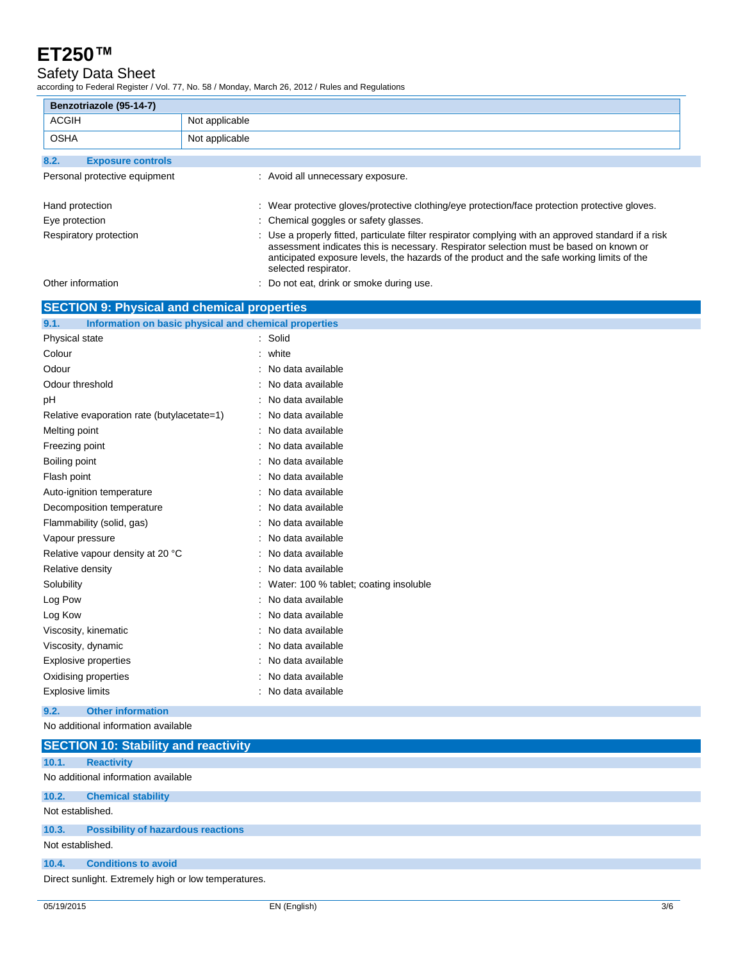### Safety Data Sheet

according to Federal Register / Vol. 77, No. 58 / Monday, March 26, 2012 / Rules and Regulations

| Benzotriazole (95-14-7)                                                 |                |                                                                                                                    |
|-------------------------------------------------------------------------|----------------|--------------------------------------------------------------------------------------------------------------------|
| <b>ACGIH</b>                                                            | Not applicable |                                                                                                                    |
| <b>OSHA</b>                                                             | Not applicable |                                                                                                                    |
|                                                                         |                |                                                                                                                    |
| 8.2.<br><b>Exposure controls</b>                                        |                |                                                                                                                    |
| Personal protective equipment                                           |                | : Avoid all unnecessary exposure.                                                                                  |
| Hand protection                                                         |                | : Wear protective gloves/protective clothing/eye protection/face protection protective gloves.                     |
| Eye protection                                                          |                | Chemical goggles or safety glasses.                                                                                |
| Respiratory protection                                                  |                | Use a properly fitted, particulate filter respirator complying with an approved standard if a risk                 |
|                                                                         |                | assessment indicates this is necessary. Respirator selection must be based on known or                             |
|                                                                         |                | anticipated exposure levels, the hazards of the product and the safe working limits of the<br>selected respirator. |
| Other information                                                       |                | Do not eat, drink or smoke during use.                                                                             |
|                                                                         |                |                                                                                                                    |
| <b>SECTION 9: Physical and chemical properties</b>                      |                |                                                                                                                    |
| Information on basic physical and chemical properties<br>9.1.           |                |                                                                                                                    |
| Physical state                                                          |                | : Solid                                                                                                            |
| Colour                                                                  |                | : white                                                                                                            |
| Odour                                                                   |                | No data available                                                                                                  |
| Odour threshold                                                         |                | No data available                                                                                                  |
| pH                                                                      |                | No data available                                                                                                  |
| Relative evaporation rate (butylacetate=1)                              |                | : No data available                                                                                                |
| Melting point                                                           |                | : No data available                                                                                                |
| Freezing point                                                          |                | No data available                                                                                                  |
| Boiling point                                                           |                | No data available                                                                                                  |
| Flash point                                                             |                | : No data available                                                                                                |
| Auto-ignition temperature                                               |                | : No data available                                                                                                |
| Decomposition temperature                                               |                | : No data available                                                                                                |
| Flammability (solid, gas)                                               |                | No data available                                                                                                  |
| Vapour pressure                                                         |                | No data available                                                                                                  |
| Relative vapour density at 20 °C                                        |                | : No data available                                                                                                |
| Relative density                                                        |                | : No data available                                                                                                |
| Solubility                                                              |                | Water: 100 % tablet; coating insoluble                                                                             |
| Log Pow                                                                 |                | No data available                                                                                                  |
| Log Kow                                                                 |                | No data available<br>: No data available                                                                           |
| Viscosity, kinematic<br>Viscosity, dynamic                              |                | No data available                                                                                                  |
| <b>Explosive properties</b>                                             |                | No data available                                                                                                  |
| Oxidising properties                                                    |                | No data available                                                                                                  |
| <b>Explosive limits</b>                                                 |                | : No data available                                                                                                |
|                                                                         |                |                                                                                                                    |
| 9.2.<br><b>Other information</b><br>No additional information available |                |                                                                                                                    |
|                                                                         |                |                                                                                                                    |
| <b>SECTION 10: Stability and reactivity</b>                             |                |                                                                                                                    |
| 10.1.<br><b>Reactivity</b>                                              |                |                                                                                                                    |
| No additional information available                                     |                |                                                                                                                    |
| 10.2.<br><b>Chemical stability</b>                                      |                |                                                                                                                    |
| Not established.                                                        |                |                                                                                                                    |
| 10.3.<br><b>Possibility of hazardous reactions</b>                      |                |                                                                                                                    |
| Not established.                                                        |                |                                                                                                                    |
| 10.4.<br><b>Conditions to avoid</b>                                     |                |                                                                                                                    |
| Direct sunlight. Extremely high or low temperatures.                    |                |                                                                                                                    |
|                                                                         |                |                                                                                                                    |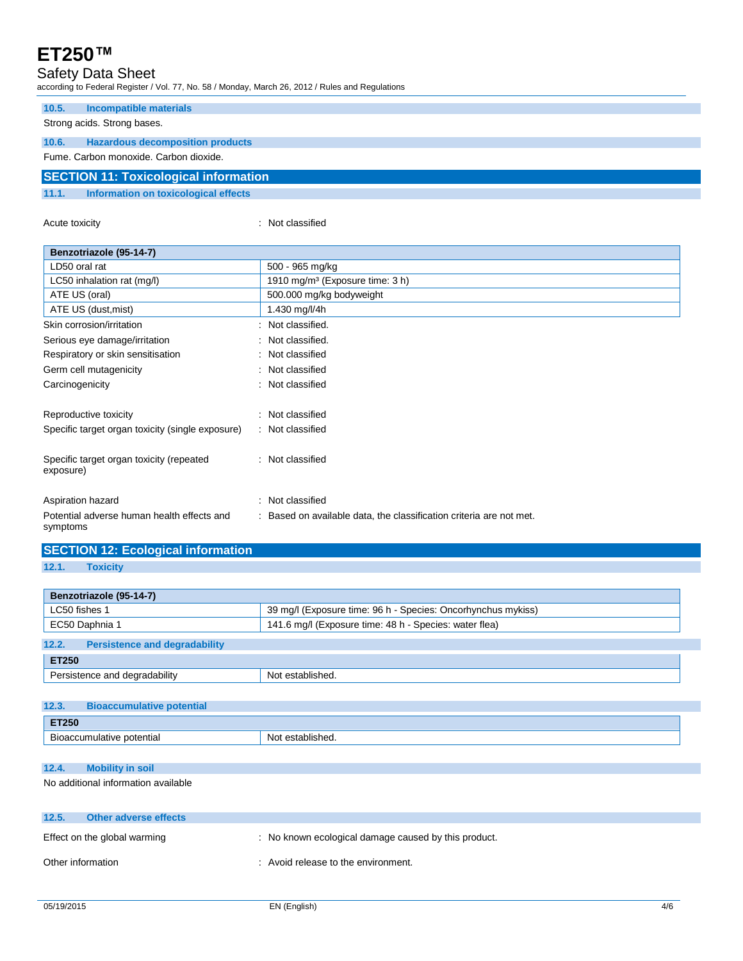### Safety Data Sheet

according to Federal Register / Vol. 77, No. 58 / Monday, March 26, 2012 / Rules and Regulations

| 10.5.                                        | Incompatible materials                  |  |  |  |  |
|----------------------------------------------|-----------------------------------------|--|--|--|--|
|                                              | Strong acids. Strong bases.             |  |  |  |  |
| 10.6.                                        | <b>Hazardous decomposition products</b> |  |  |  |  |
|                                              | Fume, Carbon monoxide, Carbon dioxide,  |  |  |  |  |
| <b>SECTION 11: Toxicological information</b> |                                         |  |  |  |  |
| 11.1.                                        | Information on toxicological effects    |  |  |  |  |
|                                              |                                         |  |  |  |  |

Acute toxicity **in the case of the case of the case of the case of the case of the case of the case of the case of the case of the case of the case of the case of the case of the case of the case of the case of the case of** 

| Benzotriazole (95-14-7)                                |                                                                   |
|--------------------------------------------------------|-------------------------------------------------------------------|
| LD50 oral rat                                          | 500 - 965 mg/kg                                                   |
| LC50 inhalation rat (mg/l)                             | 1910 mg/m <sup>3</sup> (Exposure time: 3 h)                       |
| ATE US (oral)                                          | 500.000 mg/kg bodyweight                                          |
| ATE US (dust, mist)                                    | 1.430 mg/l/4h                                                     |
| Skin corrosion/irritation                              | Not classified.                                                   |
| Serious eye damage/irritation                          | : Not classified.                                                 |
| Respiratory or skin sensitisation                      | : Not classified                                                  |
| Germ cell mutagenicity                                 | : Not classified                                                  |
| Carcinogenicity                                        | : Not classified                                                  |
|                                                        |                                                                   |
| Reproductive toxicity                                  | : Not classified                                                  |
| Specific target organ toxicity (single exposure)       | : Not classified                                                  |
|                                                        |                                                                   |
| Specific target organ toxicity (repeated               | : Not classified                                                  |
| exposure)                                              |                                                                   |
|                                                        |                                                                   |
| Aspiration hazard                                      | : Not classified                                                  |
| Potential adverse human health effects and<br>symptoms | Based on available data, the classification criteria are not met. |

|       | <b>SECTION 12: Ecological information</b> |
|-------|-------------------------------------------|
| 12.1. | Toxicity                                  |
|       |                                           |

| Benzotriazole (95-14-7)                                      |  |  |  |  |
|--------------------------------------------------------------|--|--|--|--|
| 39 mg/l (Exposure time: 96 h - Species: Oncorhynchus mykiss) |  |  |  |  |
| 141.6 mg/l (Exposure time: 48 h - Species: water flea)       |  |  |  |  |
|                                                              |  |  |  |  |
| <b>ET250</b>                                                 |  |  |  |  |
| Not established.                                             |  |  |  |  |
|                                                              |  |  |  |  |

| 12.3.                     | <b>Bioaccumulative potential</b> |                  |  |
|---------------------------|----------------------------------|------------------|--|
| ET250                     |                                  |                  |  |
| Bioaccumulative potential |                                  | Not established. |  |

**12.4. Mobility in soil**

No additional information available

| 12.5.             | Other adverse effects        |                                                      |
|-------------------|------------------------------|------------------------------------------------------|
|                   | Effect on the global warming | : No known ecological damage caused by this product. |
| Other information |                              | : Avoid release to the environment.                  |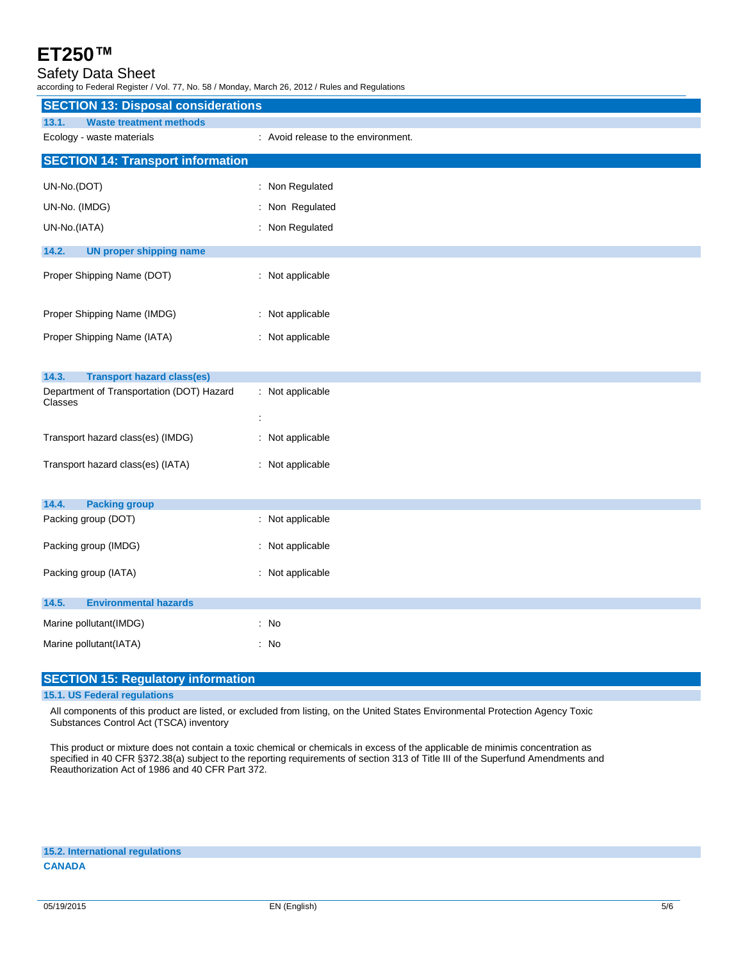### Safety Data Sheet

according to Federal Register / Vol. 77, No. 58 / Monday, March 26, 2012 / Rules and Regulations

| <b>SECTION 13: Disposal considerations</b>           |                                     |
|------------------------------------------------------|-------------------------------------|
|                                                      |                                     |
| 13.1.<br><b>Waste treatment methods</b>              |                                     |
| Ecology - waste materials                            | : Avoid release to the environment. |
| <b>SECTION 14: Transport information</b>             |                                     |
| UN-No.(DOT)                                          | : Non Regulated                     |
| UN-No. (IMDG)                                        | : Non Regulated                     |
| UN-No.(IATA)                                         | : Non Regulated                     |
| 14.2.<br><b>UN proper shipping name</b>              |                                     |
| Proper Shipping Name (DOT)                           | : Not applicable                    |
|                                                      |                                     |
| Proper Shipping Name (IMDG)                          | : Not applicable                    |
| Proper Shipping Name (IATA)                          | : Not applicable                    |
|                                                      |                                     |
| 14.3.<br><b>Transport hazard class(es)</b>           |                                     |
| Department of Transportation (DOT) Hazard<br>Classes | : Not applicable<br>÷               |
|                                                      |                                     |
| Transport hazard class(es) (IMDG)                    | : Not applicable                    |
| Transport hazard class(es) (IATA)                    | : Not applicable                    |
|                                                      |                                     |
| 14.4.<br><b>Packing group</b>                        |                                     |
| Packing group (DOT)                                  | : Not applicable                    |
| Packing group (IMDG)                                 | : Not applicable                    |
| Packing group (IATA)                                 | : Not applicable                    |
|                                                      |                                     |
| 14.5.<br><b>Environmental hazards</b>                |                                     |
| Marine pollutant(IMDG)                               | : No                                |
| Marine pollutant(IATA)                               | : No                                |
|                                                      |                                     |

#### **SECTION 15: Regulatory information**

#### **15.1. US Federal regulations**

All components of this product are listed, or excluded from listing, on the United States Environmental Protection Agency Toxic Substances Control Act (TSCA) inventory

This product or mixture does not contain a toxic chemical or chemicals in excess of the applicable de minimis concentration as specified in 40 CFR §372.38(a) subject to the reporting requirements of section 313 of Title III of the Superfund Amendments and Reauthorization Act of 1986 and 40 CFR Part 372.